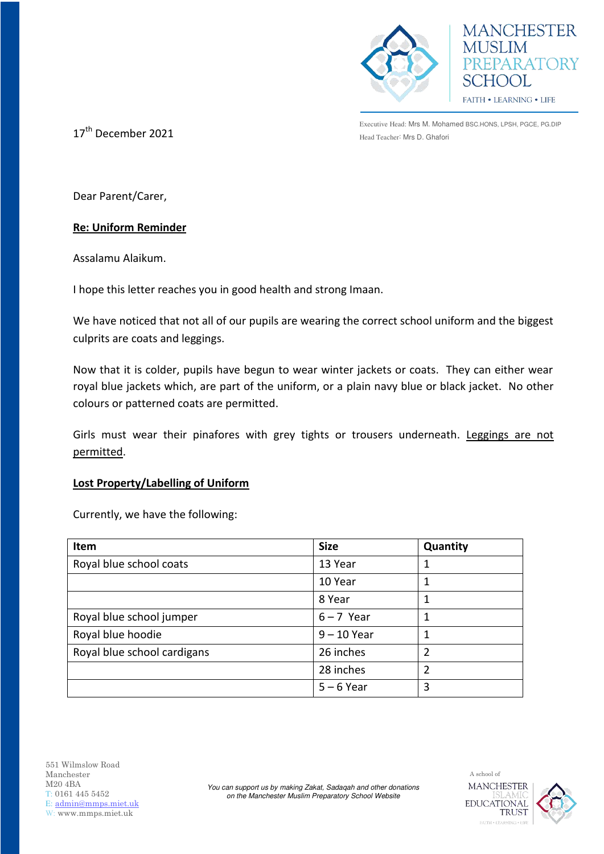



Executive Head: Mrs M. Mohamed BSC.HONS, LPSH, PGCE, PG.DIP

17<sup>th</sup> December 2021 **Execute Tead:** Mrs D. Ghafori

Dear Parent/Carer,

## **Re: Uniform Reminder**

Assalamu Alaikum.

I hope this letter reaches you in good health and strong Imaan.

We have noticed that not all of our pupils are wearing the correct school uniform and the biggest culprits are coats and leggings.

Now that it is colder, pupils have begun to wear winter jackets or coats. They can either wear royal blue jackets which, are part of the uniform, or a plain navy blue or black jacket. No other colours or patterned coats are permitted.

Girls must wear their pinafores with grey tights or trousers underneath. Leggings are not permitted.

## **Lost Property/Labelling of Uniform**

Currently, we have the following:

| <b>Item</b>                 | <b>Size</b>   | Quantity |
|-----------------------------|---------------|----------|
| Royal blue school coats     | 13 Year       |          |
|                             | 10 Year       |          |
|                             | 8 Year        |          |
| Royal blue school jumper    | $6 - 7$ Year  |          |
| Royal blue hoodie           | $9 - 10$ Year |          |
| Royal blue school cardigans | 26 inches     | 2        |
|                             | 28 inches     | 2        |
|                             | $5 - 6$ Year  | 3        |